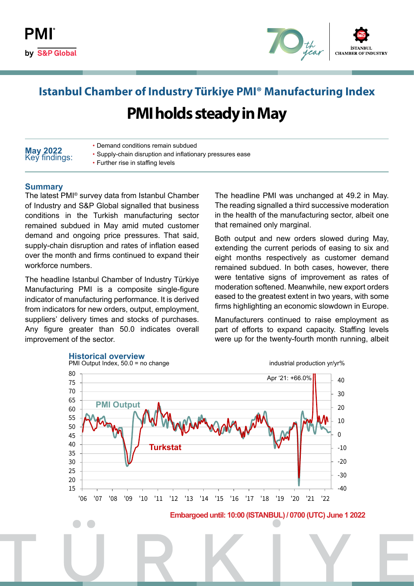

# **Istanbul Chamber of Industry Türkiye PMI® Manufacturing Index PMI holds steady in May**

| May 2022<br>Key findings: | • Demand conditions remain subdued                        |
|---------------------------|-----------------------------------------------------------|
|                           | • Supply-chain disruption and inflationary pressures ease |
|                           | • Further rise in staffing levels                         |

#### **Summary**

The latest PMI® survey data from Istanbul Chamber of Industry and S&P Global signalled that business conditions in the Turkish manufacturing sector remained subdued in May amid muted customer demand and ongoing price pressures. That said, supply-chain disruption and rates of inflation eased over the month and firms continued to expand their workforce numbers.

The headline Istanbul Chamber of Industry Türkiye Manufacturing PMI is a composite single-figure indicator of manufacturing performance. It is derived from indicators for new orders, output, employment, suppliers' delivery times and stocks of purchases. Any figure greater than 50.0 indicates overall improvement of the sector.

The headline PMI was unchanged at 49.2 in May. The reading signalled a third successive moderation in the health of the manufacturing sector, albeit one that remained only marginal.

Both output and new orders slowed during May, extending the current periods of easing to six and eight months respectively as customer demand remained subdued. In both cases, however, there were tentative signs of improvement as rates of moderation softened. Meanwhile, new export orders eased to the greatest extent in two years, with some firms highlighting an economic slowdown in Europe.

Manufacturers continued to raise employment as part of efforts to expand capacity. Staffing levels were up for the twenty-fourth month running, albeit

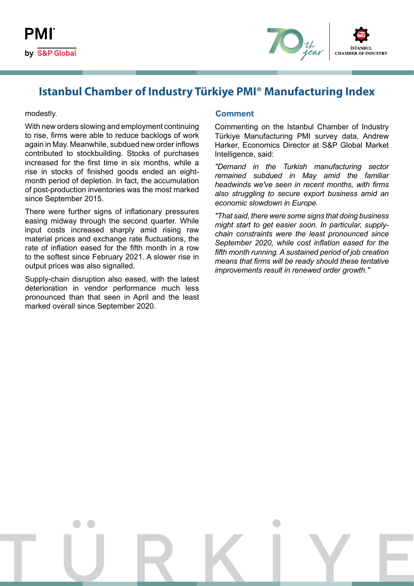

### **Istanbul Chamber of Industry Türkiye PMI® Manufacturing Index**

#### modestly.

With new orders slowing and employment continuing to rise, firms were able to reduce backlogs of work again in May. Meanwhile, subdued new order inflows contributed to stockbuilding. Stocks of purchases increased for the first time in six months, while a rise in stocks of finished goods ended an eightmonth period of depletion. In fact, the accumulation of post-production inventories was the most marked since September 2015.

There were further signs of inflationary pressures easing midway through the second quarter. While input costs increased sharply amid rising raw material prices and exchange rate fluctuations, the rate of inflation eased for the fifth month in a row to the softest since February 2021. A slower rise in output prices was also signalled.

Supply-chain disruption also eased, with the latest deterioration in vendor performance much less pronounced than that seen in April and the least marked overall since September 2020.

#### **Comment**

Commenting on the Istanbul Chamber of Industry Türkiye Manufacturing PMI survey data, Andrew Harker, Economics Director at S&P Global Market Intelligence, said:

*"Demand in the Turkish manufacturing sector remained subdued in May amid the familiar headwinds we've seen in recent months, with firms also struggling to secure export business amid an economic slowdown in Europe.*

*"That said, there were some signs that doing business might start to get easier soon. In particular, supplychain constraints were the least pronounced since September 2020, while cost inflation eased for the fifth month running. A sustained period of job creation means that firms will be ready should these tentative improvements result in renewed order growth."*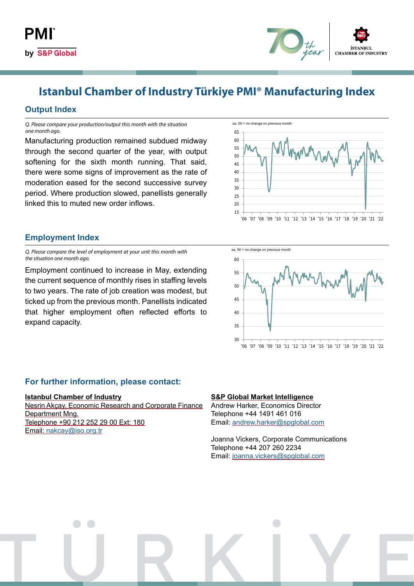

## **Istanbul Chamber of Industry Türkiye PMI® Manufacturing Index**

#### **Output Index**

*Q. Please compare your production/output this month with the situation one month ago.*

Manufacturing production remained subdued midway through the second quarter of the year, with output softening for the sixth month running. That said, there were some signs of improvement as the rate of moderation eased for the second successive survey period. Where production slowed, panellists generally linked this to muted new order inflows.



### **Employment Index**

*Q. Please compare the level of employment at your unit this month with the situation one month ago.*

Employment continued to increase in May, extending the current sequence of monthly rises in staffing levels to two years. The rate of job creation was modest, but ticked up from the previous month. Panellists indicated that higher employment often reflected efforts to expand capacity.



#### **For further information, please contact:**

#### **Istanbul Chamber of Industry**

Nesrin Akçay, Economic Research and Corporate Finance Department Mng. Telephone +90 212 252 29 00 Ext: 180 Email: [nakcay@iso.org.tr](mailto:nakcay%40iso.org.tr?subject=)

#### **S&P Global Market Intelligence**

Andrew Harker, Economics Director Telephone +44 1491 461 016 Email: [andrew.harker@spglobal.com](mailto:andrew.harker%40spglobal.com?subject=)

Joanna Vickers, Corporate Communications Telephone +44 207 260 2234 Email: [joanna.vickers@spglobal.com](mailto:joanna.vickers%40spglobal.com?subject=)